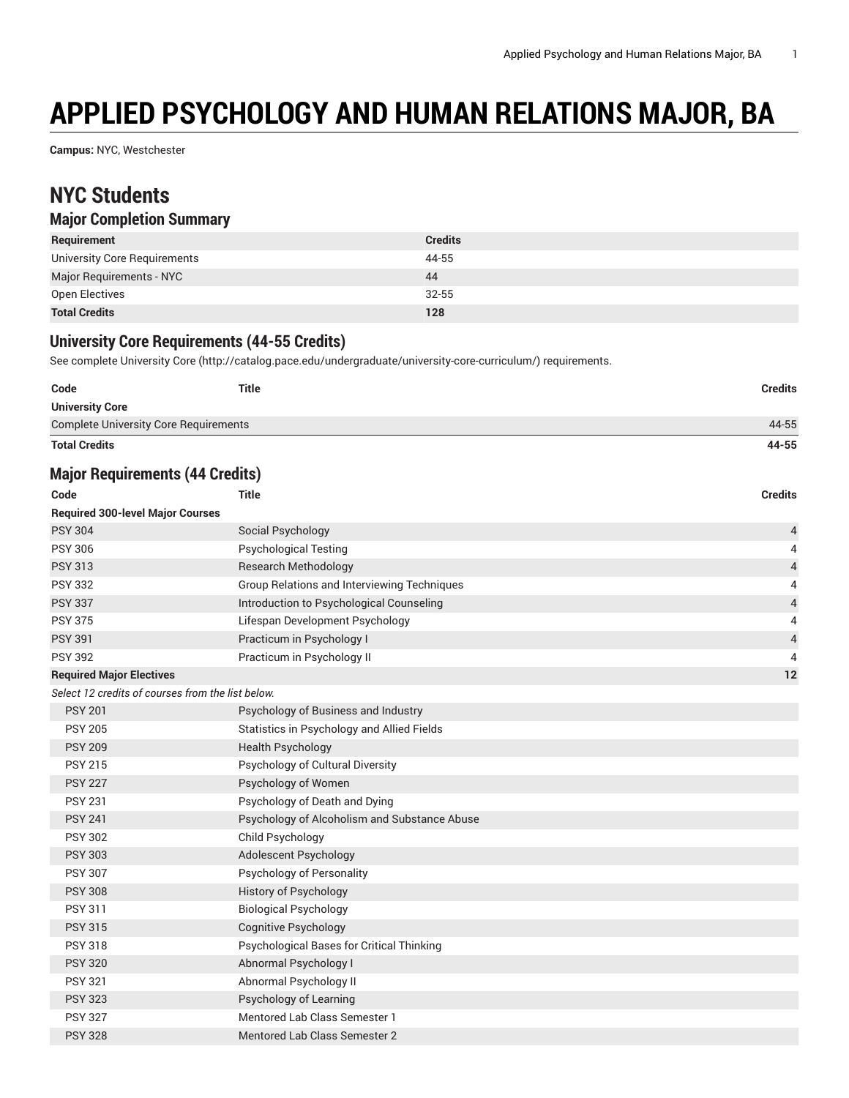# **APPLIED PSYCHOLOGY AND HUMAN RELATIONS MAJOR, BA**

**Campus:** NYC, Westchester

## **NYC Students**

### **Major Completion Summary**

| Requirement                  | <b>Credits</b> |
|------------------------------|----------------|
| University Core Requirements | 44-55          |
| Major Requirements - NYC     | 44             |
| Open Electives               | $32 - 55$      |
| <b>Total Credits</b>         | 128            |

### **University Core Requirements (44-55 Credits)**

See complete [University](http://catalog.pace.edu/undergraduate/university-core-curriculum/) Core (<http://catalog.pace.edu/undergraduate/university-core-curriculum/>) requirements.

| <b>University Core</b>                       |  |       |
|----------------------------------------------|--|-------|
| <b>Complete University Core Requirements</b> |  | 44-55 |
| <b>Total Credits</b>                         |  | 44-55 |

#### **Major Requirements (44 Credits)**

| Code                                              | Title                                        | <b>Credits</b> |
|---------------------------------------------------|----------------------------------------------|----------------|
| <b>Required 300-level Major Courses</b>           |                                              |                |
| <b>PSY 304</b>                                    | Social Psychology                            | 4              |
| <b>PSY 306</b>                                    | <b>Psychological Testing</b>                 | 4              |
| <b>PSY 313</b>                                    | <b>Research Methodology</b>                  | $\overline{4}$ |
| <b>PSY 332</b>                                    | Group Relations and Interviewing Techniques  | 4              |
| <b>PSY 337</b>                                    | Introduction to Psychological Counseling     | $\overline{4}$ |
| <b>PSY 375</b>                                    | Lifespan Development Psychology              | 4              |
| <b>PSY 391</b>                                    | Practicum in Psychology I                    | $\overline{4}$ |
| <b>PSY 392</b>                                    | Practicum in Psychology II                   | $\overline{4}$ |
| <b>Required Major Electives</b>                   |                                              | 12             |
| Select 12 credits of courses from the list below. |                                              |                |
| <b>PSY 201</b>                                    | Psychology of Business and Industry          |                |
| <b>PSY 205</b>                                    | Statistics in Psychology and Allied Fields   |                |
| <b>PSY 209</b>                                    | <b>Health Psychology</b>                     |                |
| <b>PSY 215</b>                                    | Psychology of Cultural Diversity             |                |
| <b>PSY 227</b>                                    | Psychology of Women                          |                |
| <b>PSY 231</b>                                    | Psychology of Death and Dying                |                |
| <b>PSY 241</b>                                    | Psychology of Alcoholism and Substance Abuse |                |
| <b>PSY 302</b>                                    | Child Psychology                             |                |
| <b>PSY 303</b>                                    | Adolescent Psychology                        |                |
| <b>PSY 307</b>                                    | Psychology of Personality                    |                |
| <b>PSY 308</b>                                    | <b>History of Psychology</b>                 |                |
| <b>PSY 311</b>                                    | <b>Biological Psychology</b>                 |                |
| <b>PSY 315</b>                                    | <b>Cognitive Psychology</b>                  |                |
| <b>PSY 318</b>                                    | Psychological Bases for Critical Thinking    |                |
| <b>PSY 320</b>                                    | Abnormal Psychology I                        |                |
| <b>PSY 321</b>                                    | Abnormal Psychology II                       |                |
| <b>PSY 323</b>                                    | Psychology of Learning                       |                |
| <b>PSY 327</b>                                    | Mentored Lab Class Semester 1                |                |
| <b>PSY 328</b>                                    | Mentored Lab Class Semester 2                |                |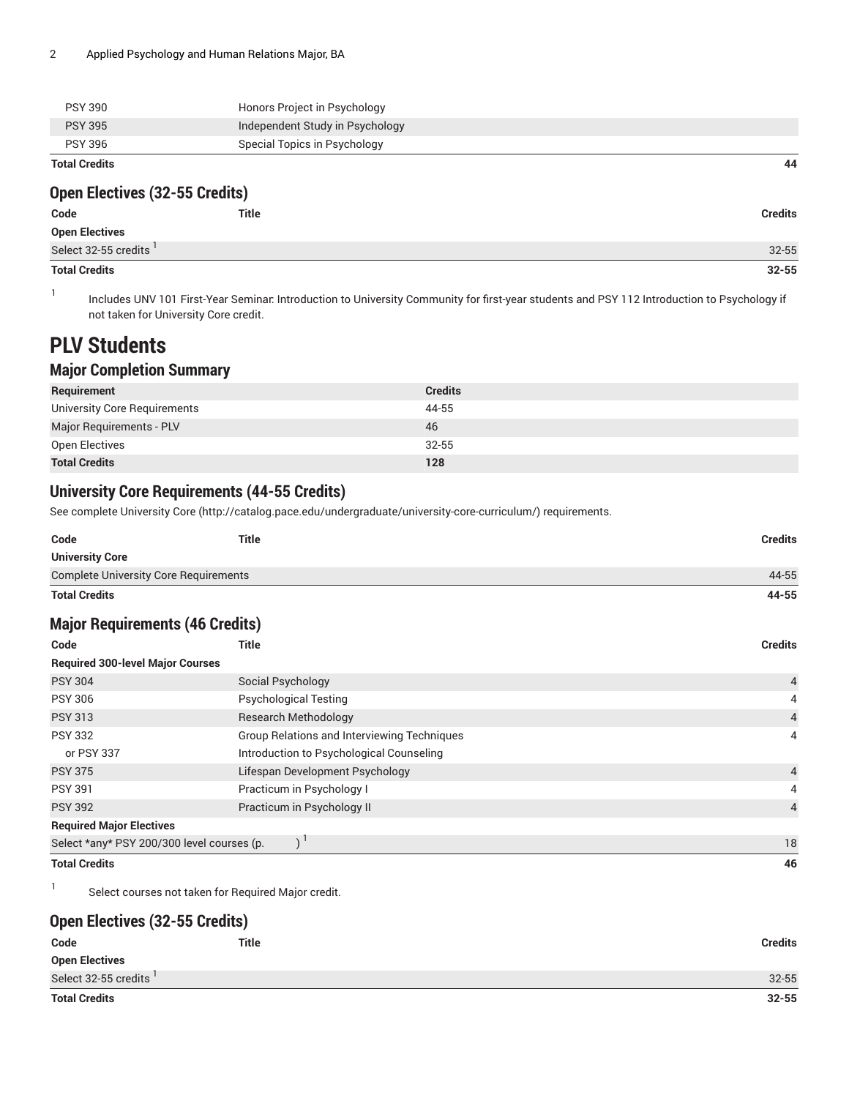| <b>Total Credits</b> |                                 | 44 |
|----------------------|---------------------------------|----|
| <b>PSY 396</b>       | Special Topics in Psychology    |    |
| <b>PSY 395</b>       | Independent Study in Psychology |    |
| <b>PSY 390</b>       | Honors Project in Psychology    |    |

### **Open Electives (32-55 Credits)**

| Code                   | Title | <b>Credits</b> |
|------------------------|-------|----------------|
| Open Electives         |       |                |
| Select 32-55 credits ' |       | $32 - 55$      |
| <b>Total Credits</b>   |       | $32 - 55$      |

1 Includes UNV 101 First-Year Seminar: Introduction to University Community for first-year students and PSY 112 Introduction to Psychology if not taken for University Core credit.

### **PLV Students**

### **Major Completion Summary**

| Requirement                     | <b>Credits</b> |
|---------------------------------|----------------|
| University Core Requirements    | 44-55          |
| <b>Major Requirements - PLV</b> | 46             |
| Open Electives                  | $32 - 55$      |
| <b>Total Credits</b>            | 128            |

### **University Core Requirements (44-55 Credits)**

See complete [University](http://catalog.pace.edu/undergraduate/university-core-curriculum/) Core (<http://catalog.pace.edu/undergraduate/university-core-curriculum/>) requirements.

| 44-55          |
|----------------|
| 44-55          |
|                |
| <b>Credits</b> |
|                |

### **Major Requirements (46 Credits)**

| Code                                       | <b>Title</b>                                       | <b>Credits</b> |
|--------------------------------------------|----------------------------------------------------|----------------|
| <b>Required 300-level Major Courses</b>    |                                                    |                |
| <b>PSY 304</b>                             | Social Psychology                                  | $\overline{4}$ |
| <b>PSY 306</b>                             | <b>Psychological Testing</b>                       | 4              |
| <b>PSY 313</b>                             | <b>Research Methodology</b>                        | $\overline{4}$ |
| <b>PSY 332</b>                             | <b>Group Relations and Interviewing Techniques</b> | 4              |
| or PSY 337                                 | Introduction to Psychological Counseling           |                |
| <b>PSY 375</b>                             | Lifespan Development Psychology                    | $\overline{4}$ |
| <b>PSY 391</b>                             | Practicum in Psychology I                          | 4              |
| <b>PSY 392</b>                             | Practicum in Psychology II                         |                |
| <b>Required Major Electives</b>            |                                                    |                |
| Select *any* PSY 200/300 level courses (p. |                                                    | 18             |
| <b>Total Credits</b>                       |                                                    | 46             |

1 Select courses not taken for Required Major credit.

### **Open Electives (32-55 Credits)**

| Code                  | <b>Title</b> | <b>Credits</b> |
|-----------------------|--------------|----------------|
| <b>Open Electives</b> |              |                |
| Select 32-55 credits  |              | $32 - 55$      |
| <b>Total Credits</b>  |              | $32 - 55$      |